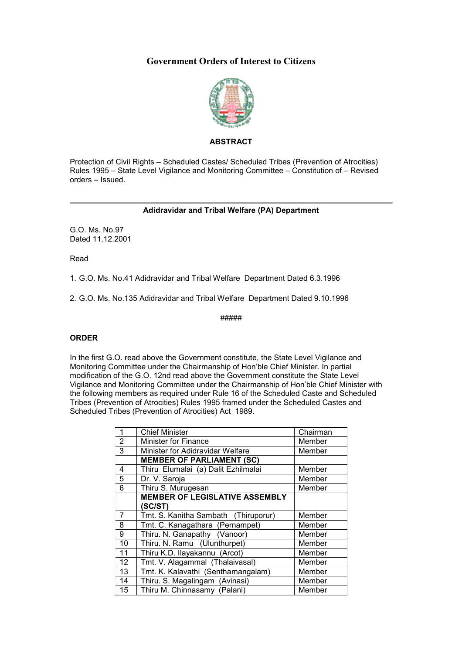# **Government Orders of Interest to Citizens**



## **ABSTRACT**

Protection of Civil Rights – Scheduled Castes/ Scheduled Tribes (Prevention of Atrocities) Rules 1995 – State Level Vigilance and Monitoring Committee – Constitution of – Revised orders – Issued.

### **Adidravidar and Tribal Welfare (PA) Department**

G.O. Ms. No.97 Dated 11.12.2001

Read

1. G.O. Ms. No.41 Adidravidar and Tribal Welfare Department Dated 6.3.1996

2. G.O. Ms. No.135 Adidravidar and Tribal Welfare Department Dated 9.10.1996

#####

#### **ORDER**

In the first G.O. read above the Government constitute, the State Level Vigilance and Monitoring Committee under the Chairmanship of Hon'ble Chief Minister. In partial modification of the G.O. 12nd read above the Government constitute the State Level Vigilance and Monitoring Committee under the Chairmanship of Hon'ble Chief Minister with the following members as required under Rule 16 of the Scheduled Caste and Scheduled Tribes (Prevention of Atrocities) Rules 1995 framed under the Scheduled Castes and Scheduled Tribes (Prevention of Atrocities) Act 1989.

| 1              | <b>Chief Minister</b>                 | Chairman |
|----------------|---------------------------------------|----------|
| $\overline{2}$ | <b>Minister for Finance</b>           | Member   |
| 3              | Minister for Adidravidar Welfare      | Member   |
|                | <b>MEMBER OF PARLIAMENT (SC)</b>      |          |
| 4              | Thiru Elumalai (a) Dalit Ezhilmalai   | Member   |
| 5              | Dr. V. Saroja                         | Member   |
| 6              | Thiru S. Murugesan                    | Member   |
|                | <b>MEMBER OF LEGISLATIVE ASSEMBLY</b> |          |
|                | (SC/ST)                               |          |
| $\overline{7}$ | Tmt. S. Kanitha Sambath (Thiruporur)  | Member   |
| 8              | Tmt. C. Kanagathara (Pernampet)       | Member   |
| 9              | Thiru. N. Ganapathy (Vanoor)          | Member   |
| 10             | Thiru. N. Ramu (Ulunthurpet)          | Member   |
| 11             | Thiru K.D. Ilayakannu (Arcot)         | Member   |
| 12             | Tmt. V. Alagammal (Thalaivasal)       | Member   |
| 13             | Tmt. K. Kalavathi (Senthamangalam)    | Member   |
| 14             | Thiru. S. Magalingam (Avinasi)        | Member   |
| 15             | Thiru M. Chinnasamy (Palani)          | Member   |